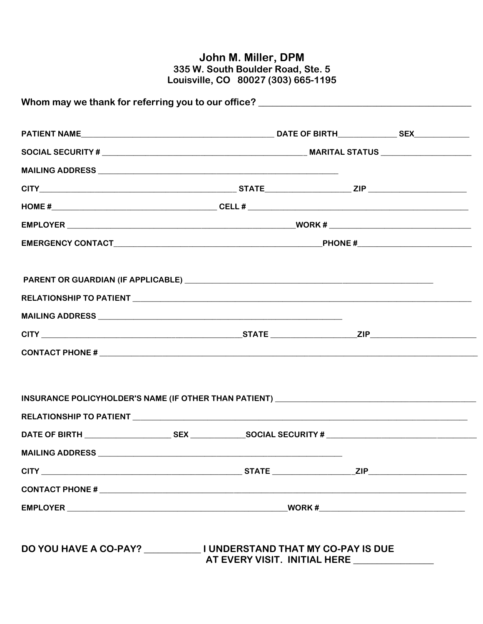## John M. Miller, DPM<br>335 W. South Boulder Road, Ste. 5<br>Louisville, CO 80027 (303) 665-1195

| $CONTACT$ PHONE # $\_\_$                                                          |  |
|-----------------------------------------------------------------------------------|--|
| INSURANCE POLICYHOLDER'S NAME (IF OTHER THAN PATIENT) ___________________________ |  |
|                                                                                   |  |
|                                                                                   |  |
|                                                                                   |  |
|                                                                                   |  |
|                                                                                   |  |
|                                                                                   |  |